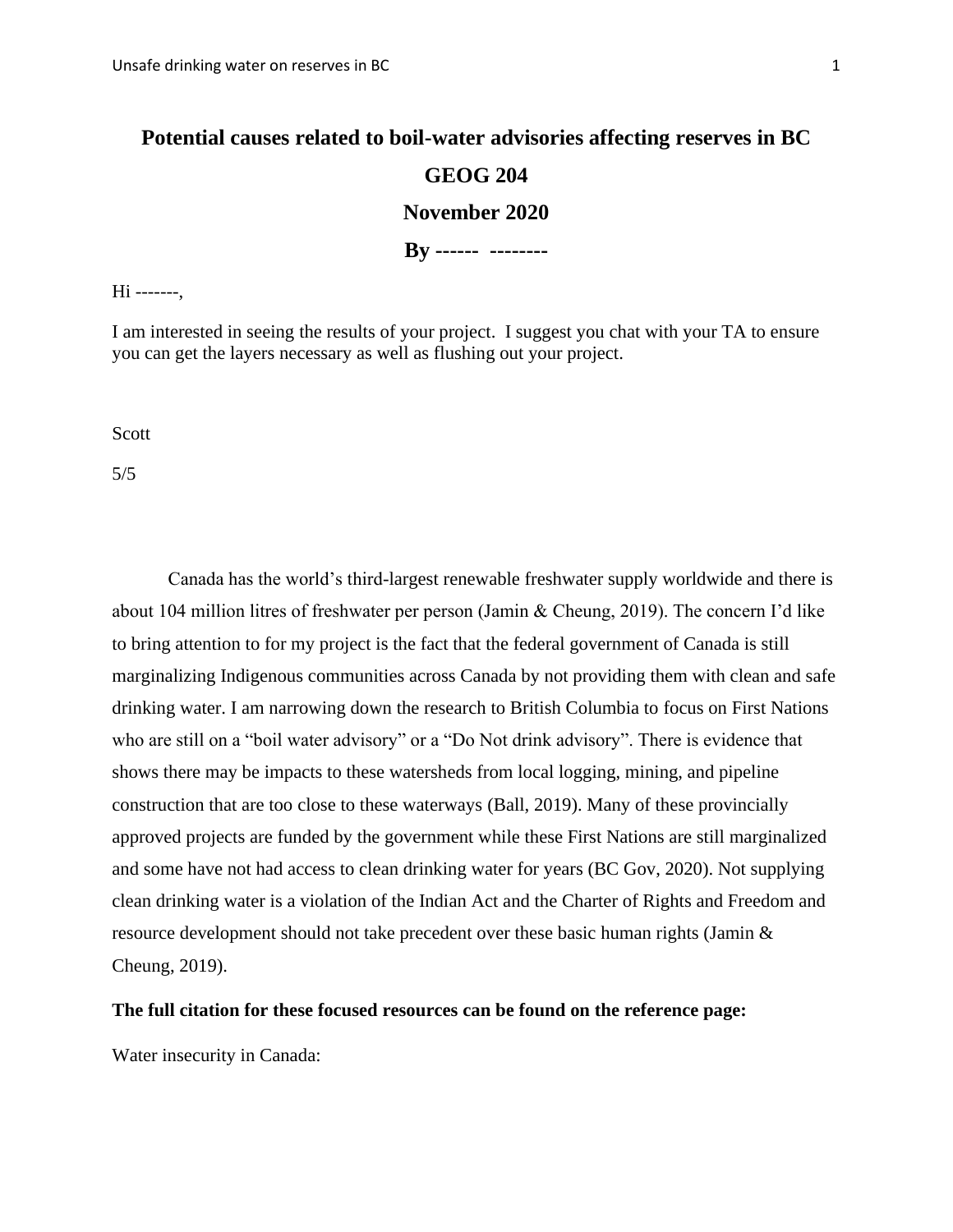**By ------ --------**

Hi -------,

I am interested in seeing the results of your project. I suggest you chat with your TA to ensure you can get the layers necessary as well as flushing out your project.

Scott

5/5

Canada has the world's third-largest renewable freshwater supply worldwide and there is about 104 million litres of freshwater per person (Jamin & Cheung, 2019). The concern I'd like to bring attention to for my project is the fact that the federal government of Canada is still marginalizing Indigenous communities across Canada by not providing them with clean and safe drinking water. I am narrowing down the research to British Columbia to focus on First Nations who are still on a "boil water advisory" or a "Do Not drink advisory". There is evidence that shows there may be impacts to these watersheds from local logging, mining, and pipeline construction that are too close to these waterways (Ball, 2019). Many of these provincially approved projects are funded by the government while these First Nations are still marginalized and some have not had access to clean drinking water for years (BC Gov, 2020). Not supplying clean drinking water is a violation of the Indian Act and the Charter of Rights and Freedom and resource development should not take precedent over these basic human rights (Jamin & Cheung, 2019).

## **The full citation for these focused resources can be found on the reference page:**

Water insecurity in Canada: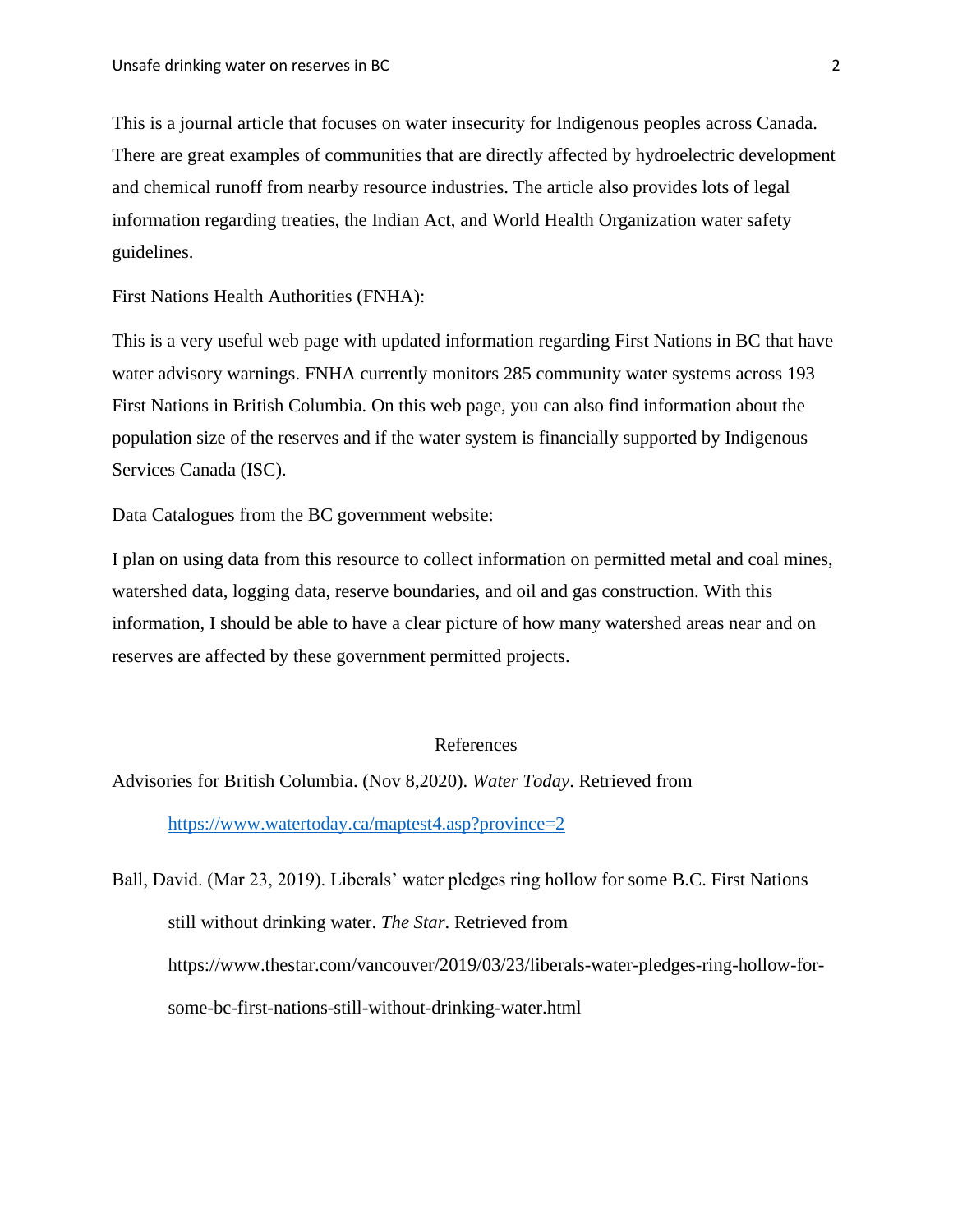This is a journal article that focuses on water insecurity for Indigenous peoples across Canada. There are great examples of communities that are directly affected by hydroelectric development and chemical runoff from nearby resource industries. The article also provides lots of legal information regarding treaties, the Indian Act, and World Health Organization water safety guidelines.

First Nations Health Authorities (FNHA):

This is a very useful web page with updated information regarding First Nations in BC that have water advisory warnings. FNHA currently monitors 285 community water systems across 193 First Nations in British Columbia. On this web page, you can also find information about the population size of the reserves and if the water system is financially supported by Indigenous Services Canada (ISC).

Data Catalogues from the BC government website:

I plan on using data from this resource to collect information on permitted metal and coal mines, watershed data, logging data, reserve boundaries, and oil and gas construction. With this information, I should be able to have a clear picture of how many watershed areas near and on reserves are affected by these government permitted projects.

## References

Advisories for British Columbia. (Nov 8,2020). *Water Today*. Retrieved from

<https://www.watertoday.ca/maptest4.asp?province=2>

Ball, David. (Mar 23, 2019). Liberals' water pledges ring hollow for some B.C. First Nations still without drinking water. *The Star*. Retrieved from https://www.thestar.com/vancouver/2019/03/23/liberals-water-pledges-ring-hollow-forsome-bc-first-nations-still-without-drinking-water.html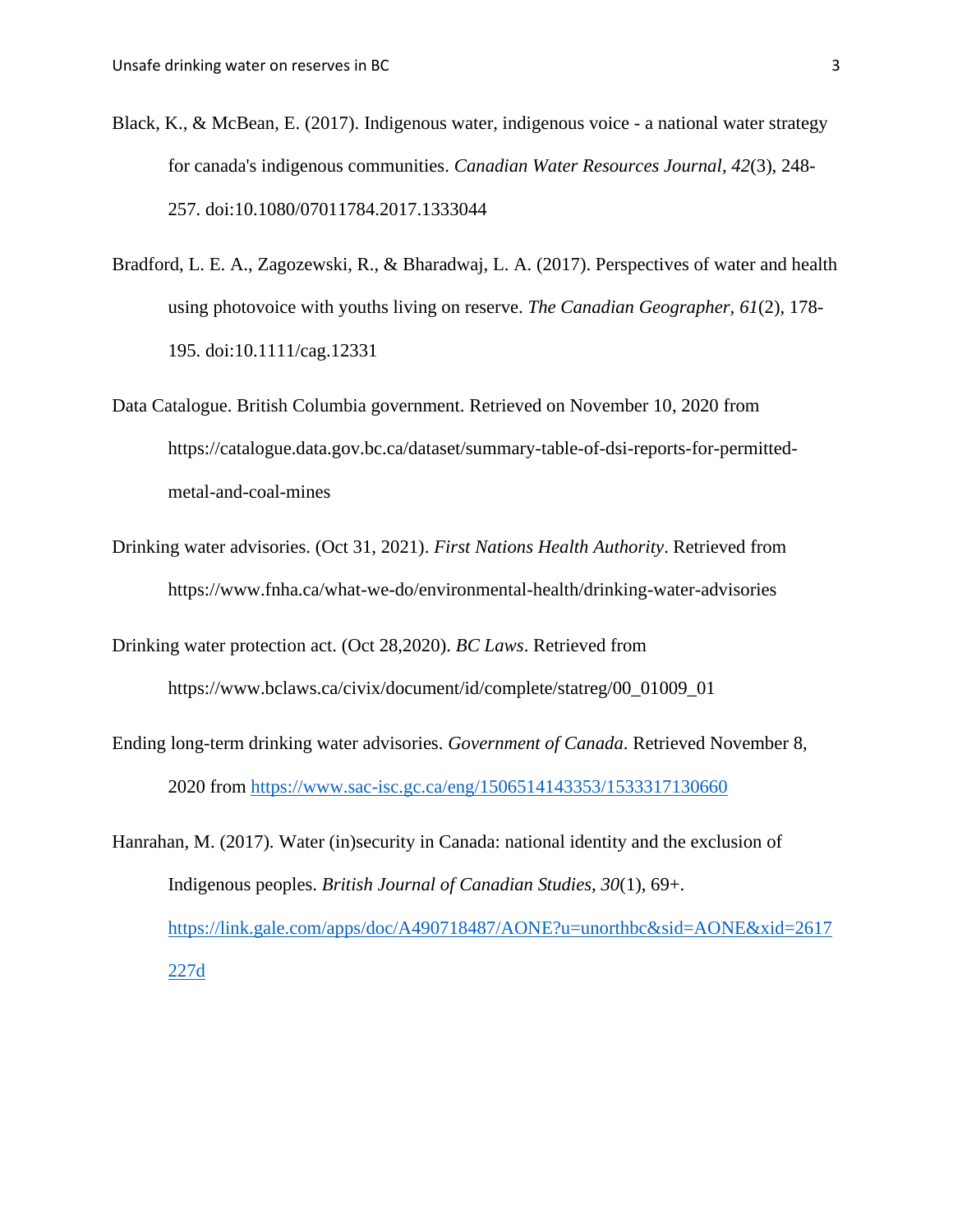- Black, K., & McBean, E. (2017). Indigenous water, indigenous voice a national water strategy for canada's indigenous communities. *Canadian Water Resources Journal, 42*(3), 248- 257. doi:10.1080/07011784.2017.1333044
- Bradford, L. E. A., Zagozewski, R., & Bharadwaj, L. A. (2017). Perspectives of water and health using photovoice with youths living on reserve. *The Canadian Geographer, 61*(2), 178- 195. doi:10.1111/cag.12331
- Data Catalogue. British Columbia government. Retrieved on November 10, 2020 from https://catalogue.data.gov.bc.ca/dataset/summary-table-of-dsi-reports-for-permittedmetal-and-coal-mines
- Drinking water advisories. (Oct 31, 2021). *First Nations Health Authority*. Retrieved from https://www.fnha.ca/what-we-do/environmental-health/drinking-water-advisories
- Drinking water protection act. (Oct 28,2020). *BC Laws*. Retrieved from https://www.bclaws.ca/civix/document/id/complete/statreg/00\_01009\_01
- Ending long-term drinking water advisories. *Government of Canada*. Retrieved November 8, 2020 from<https://www.sac-isc.gc.ca/eng/1506514143353/1533317130660>
- Hanrahan, M. (2017). Water (in)security in Canada: national identity and the exclusion of Indigenous peoples. *British Journal of Canadian Studies, 30*(1), 69+. [https://link.gale.com/apps/doc/A490718487/AONE?u=unorthbc&sid=AONE&xid=2617](https://link.gale.com/apps/doc/A490718487/AONE?u=unorthbc&sid=AONE&xid=2617227d) [227d](https://link.gale.com/apps/doc/A490718487/AONE?u=unorthbc&sid=AONE&xid=2617227d)